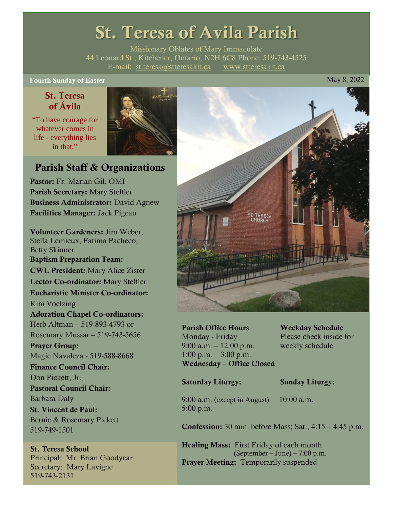## St. Teresa of Avila Parish

Missionary Oblates of Mary Immaculate 44 Leonard St., Kitchener, Ontario, N2H 6C8 Phone: 519-743-4525 E-mail: [st.teresa@stteresakit.ca](mailto:st.teresa@stteresakit.ca) [www.stteresakit.ca](http://www.stteresakit.ca/)

Fourth Sunday of Easter May 8, 2022

#### St. Teresa of Ávila

"To have courage for whatever comes in life - everything lies in that"



#### Parish Staff & Organizations

Pastor: Fr. Marian Gil, OMI Parish Secretary: Mary Steffler Business Administrator: David Agnew Facilities Manager: Jack Pigeau

Volunteer Gardeners: Jim Weber, Stella Lemieux, Fatima Pacheco, Betty Skinner Baptism Preparation Team: CWL President: Mary Alice Zister Lector Co-ordinator: Mary Steffler Eucharistic Minister Co-ordinator: Kim Voelzing Adoration Chapel Co-ordinators: Herb Altman – 519-893-4793 or Rosemary Mussar – 519-743-5656 Prayer Group: Magie Navaleza - 519-588-8668 Finance Council Chair: Don Pickett, Jr. Pastoral Council Chair: Barbara Daly St. Vincent de Paul: Bernie & Rosemary Pickett 519-749-1501

# St. Teresa School

Principal: Mr. Brian Goodyear Secretary: Mary Lavigne 519-743-2131



Parish Office Hours Weekday Schedule Monday - Friday Please check inside for 9:00 a.m. – 12:00 p.m. weekly schedule  $1:00 \text{ p.m.} - 3:00 \text{ p.m.}$ Wednesday – Office Closed

#### Saturday Liturgy: Sunday Liturgy:

9:00 a.m. (except in August) 10:00 a.m. 5:00 p.m.

Confession: 30 min. before Mass; Sat., 4:15 – 4:45 p.m.

Healing Mass: First Friday of each month (September – June) – 7:00 p.m. Prayer Meeting: Temporarily suspended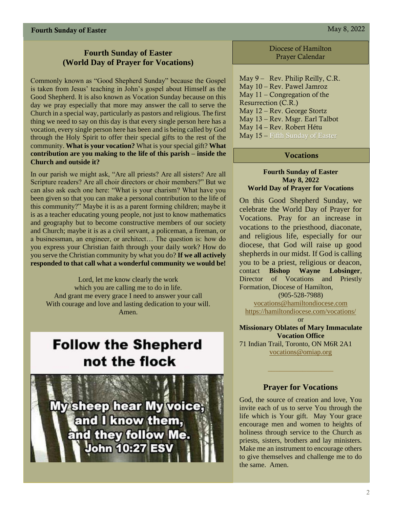#### **Fourth Sunday of Easter (World Day of Prayer for Vocations)**

Commonly known as "Good Shepherd Sunday" because the Gospel is taken from Jesus' teaching in John's gospel about Himself as the Good Shepherd. It is also known as Vocation Sunday because on this day we pray especially that more may answer the call to serve the Church in a special way, particularly as pastors and religious. The first thing we need to say on this day is that every single person here has a vocation, every single person here has been and is being called by God through the Holy Spirit to offer their special gifts to the rest of the community. **What is your vocation?** What is your special gift? **What contribution are you making to the life of this parish – inside the Church and outside it?**

In our parish we might ask, "Are all priests? Are all sisters? Are all Scripture readers? Are all choir directors or choir members?" But we can also ask each one here: "What is your charism? What have you been given so that you can make a personal contribution to the life of this community?" Maybe it is as a parent forming children; maybe it is as a teacher educating young people, not just to know mathematics and geography but to become constructive members of our society and Church; maybe it is as a civil servant, a policeman, a fireman, or a businessman, an engineer, or architect… The question is: how do you express your Christian faith through your daily work? How do you serve the Christian community by what you do? **If we all actively responded to that call what a wonderful community we would be!**

Lord, let me know clearly the work which you are calling me to do in life. And grant me every grace I need to answer your call With courage and love and lasting dedication to your will. Amen.

## **Follow the Shepherd** not the flock



Diocese of Hamilton Prayer Calendar

May 9 – Rev. Philip Reilly, C.R. May 10 – Rev. Pawel Jamroz May 11 – Congregation of the Resurrection (C.R.) May 12 – Rev. George Stortz May 13 – Rev. Msgr. Earl Talbot May 14 – Rev. Robert Hétu May 15 – Fifth Sunday of Easter

#### Vocations

#### **Fourth Sunday of Easter May 8, 2022 World Day of Prayer for Vocations**

On this Good Shepherd Sunday, we celebrate the World Day of Prayer for Vocations. Pray for an increase in vocations to the priesthood, diaconate, and religious life, especially for our diocese, that God will raise up good shepherds in our midst. If God is calling you to be a priest, religious or deacon, contact **Bishop Wayne Lobsinger**, Director of Vocations and Priestly Formation, Diocese of Hamilton,

(905-528-7988)

[vocations@hamiltondiocese.com](mailto:vocations@hamiltondiocese.com)  <https://hamiltondiocese.com/vocations/>

or

**Missionary Oblates of Mary Immaculate Vocation Office**

71 Indian Trail, Toronto, ON M6R 2A1 [vocations@omiap.org](mailto:vocations@omiap.org)

#### **Prayer for Vocations**

God, the source of creation and love, You invite each of us to serve You through the life which is Your gift. May Your grace encourage men and women to heights of holiness through service to the Church as priests, sisters, brothers and lay ministers. Make me an instrument to encourage others to give themselves and challenge me to do the same. Amen.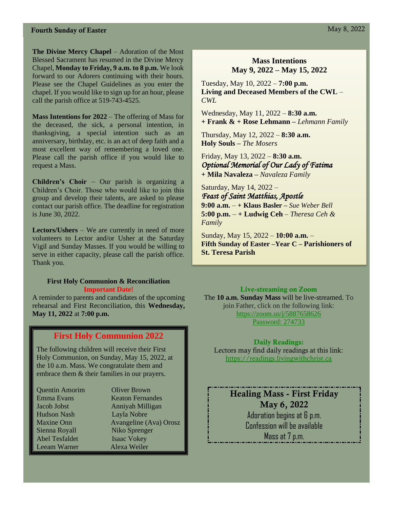#### **Fourth Sunday of Easter May 8, 2022**

**The Divine Mercy Chapel** – Adoration of the Most Blessed Sacrament has resumed in the Divine Mercy Chapel, **Monday to Friday, 9 a.m. to 8 p.m.** We look forward to our Adorers continuing with their hours. Please see the Chapel Guidelines as you enter the chapel. If you would like to sign up for an hour, please call the parish office at 519-743-4525.

**Mass Intentions for 2022** – The offering of Mass for the deceased, the sick, a personal intention, in thanksgiving, a special intention such as an anniversary, birthday, etc. is an act of deep faith and a most excellent way of remembering a loved one. Please call the parish office if you would like to request a Mass.

**Children's Choir** – Our parish is organizing a Children's Choir. Those who would like to join this group and develop their talents, are asked to please contact our parish office. The deadline for registration is June 30, 2022.

**Lectors/Ushers** – We are currently in need of more volunteers to Lector and/or Usher at the Saturday Vigil and Sunday Masses. If you would be willing to serve in either capacity, please call the parish office. Thank you.

#### **First Holy Communion & Reconciliation Important Date!**

A reminder to parents and candidates of the upcoming rehearsal and First Reconciliation, this **Wednesday, May 11, 2022** at **7:00 p.m.**

#### **First Holy Communion 2022**

The following children will receive their First Holy Communion, on Sunday, May 15, 2022, at the 10 a.m. Mass. We congratulate them and embrace them & their families in our prayers.

| <b>Quentin Amorim</b> | <b>Oliver Brown</b>     |
|-----------------------|-------------------------|
| Emma Evans            | <b>Keaton Fernandes</b> |
| Jacob Jobst           | Anniyah Milligan        |
| <b>Hudson Nash</b>    | Layla Nobre             |
| <b>Maxine Onn</b>     | Avangeline (Ava) Orosz  |
| Sienna Royall         | Niko Sprenger           |
| <b>Abel Tesfaldet</b> | <b>Isaac Vokey</b>      |
| Leeam Warner          | Alexa Weiler            |

#### **Mass Intentions May 9, 2022 – May 15, 2022**

Tuesday, May 10, 2022 – **7:00 p.m. Living and Deceased Members of the CWL** *– CWL* 

Wednesday, May 11, 2022 – **8:30 a.m. + Frank & + Rose Lehmann –** *Lehmann Family*

Thursday, May 12, 2022 – **8:30 a.m. Holy Souls –** *The Mosers*

Friday, May 13, 2022 – **8:30 a.m.** *Optional Memorial of Our Lady of Fatima*  **+ Mila Navaleza –** *Navaleza Family*

Saturday, May 14, 2022 – *Feast of Saint Matthias, Apostle*  **9:00 a.m.** – **+ Klaus Basler –** *Sue Weber Bell* **5:00 p.m.** – **+ Ludwig Ceh** – *Theresa Ceh & Family*

Sunday, May 15, 2022 – **10:00 a.m.** – **Fifth Sunday of Easter –Year C – Parishioners of St. Teresa Parish** 

#### Live-streaming on Zoom

The **10 a.m. Sunday Mass** will be live-streamed. To join Father, click on the following link: <https://zoom.us/j/5887658626> Password: 274733

Daily Readings: Lectors may find daily readings at this link: [https://readings.livingwithchrist.ca](https://readings.livingwithchrist.ca/)

Healing Mass - First Friday May 6, 2022 Adoration begins at 6 p.m. Confession will be available Mass at 7 p.m.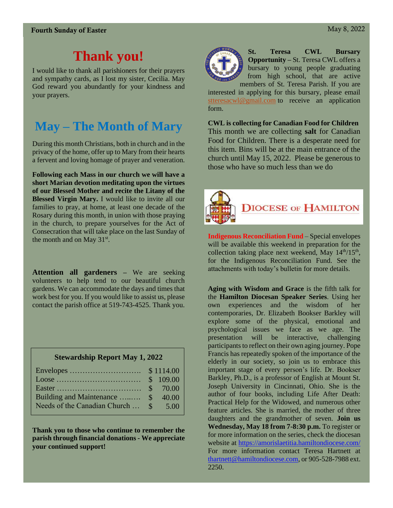## **Thank you!**

I would like to thank all parishioners for their prayers and sympathy cards, as I lost my sister, Cecilia. May God reward you abundantly for your kindness and your prayers.

## **May – The Month of Mary**

During this month Christians, both in church and in the privacy of the home, offer up to Mary from their hearts a fervent and loving homage of prayer and veneration.

**Following each Mass in our church we will have a short Marian devotion meditating upon the virtues of our Blessed Mother and recite the Litany of the Blessed Virgin Mary.** I would like to invite all our families to pray, at home, at least one decade of the Rosary during this month, in union with those praying in the church, to prepare yourselves for the Act of Consecration that will take place on the last Sunday of the month and on May  $31<sup>st</sup>$ .

**Attention all gardeners –** We are seeking volunteers to help tend to our beautiful church gardens. We can accommodate the days and times that work best for you. If you would like to assist us, please contact the parish office at 519-743-4525. Thank you.

#### **Stewardship Report May 1, 2022**

| Building and Maintenance  \$ 40.00    |  |
|---------------------------------------|--|
| Needs of the Canadian Church  \$ 5.00 |  |

**Thank you to those who continue to remember the parish through financial donations - We appreciate your continued support!** 



**St. Teresa CWL Bursary Opportunity –** St. Teresa CWL offers a bursary to young people graduating from high school, that are active members of St. Teresa Parish. If you are

interested in applying for this bursary, please email [stteresacwl@gmail.com](mailto:stteresacwl@gmail.com) to receive an application form.

**CWL is collecting for Canadian Food for Children** This month we are collecting **salt** for Canadian Food for Children. There is a desperate need for this item. Bins will be at the main entrance of the church until May 15, 2022. Please be generous to those who have so much less than we do



**Indigenous Reconciliation Fund** – Special envelopes will be available this weekend in preparation for the collection taking place next weekend, May  $14<sup>th</sup>/15<sup>th</sup>$ , for the Indigenous Reconciliation Fund. See the attachments with today's bulletin for more details.

**Aging with Wisdom and Grace** is the fifth talk for the **Hamilton Diocesan Speaker Series**. Using her own experiences and the wisdom of her contemporaries, Dr. Elizabeth Bookser Barkley will explore some of the physical, emotional and psychological issues we face as we age. The presentation will be interactive, challenging participants to reflect on their own aging journey. Pope Francis has repeatedly spoken of the importance of the elderly in our society, so join us to embrace this important stage of every person's life. Dr. Bookser Barkley, Ph.D., is a professor of English at Mount St. Joseph University in Cincinnati, Ohio. She is the author of four books, including Life After Death: Practical Help for the Widowed, and numerous other feature articles. She is married, the mother of three daughters and the grandmother of seven. **Join us Wednesday, May 18 from 7-8:30 p.m.** To register or for more information on the series, check the diocesan website at<https://amorislaetitia.hamiltondiocese.com/> For more information contact Teresa Hartnett at [thartnett@hamiltondiocese.com,](mailto:thartnett@hamiltondiocese.com) or 905-528-7988 ext. 2250.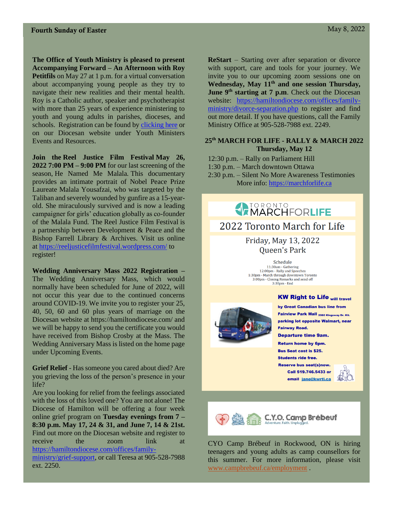**The Office of Youth Ministry is pleased to present Accompanying Forward – An Afternoon with Roy Petitfils** on May 27 at 1 p.m. for a virtual conversation about accompanying young people as they try to navigate their new realities and their mental health. Roy is a Catholic author, speaker and psychotherapist with more than 25 years of experience ministering to youth and young adults in parishes, dioceses, and schools. Registration can be found by [clicking here](https://www.eventbrite.ca/e/accompanying-forward-an-afternoon-with-roy-petitfils-tickets-318900117837) or on our Diocesan website under Youth Ministers Events and Resources.

**Join the Reel Justice Film Festival May 26, 2022 7:00 PM – 9:00 PM** for our last screening of the season, He Named Me Malala*.* This documentary provides an intimate portrait of Nobel Peace Prize Laureate Malala Yousafzai, who was targeted by the Taliban and severely wounded by gunfire as a 15-yearold. She miraculously survived and is now a leading campaigner for girls' education globally as co-founder of the Malala Fund*.* The Reel Justice Film Festival is a partnership between Development & Peace and the Bishop Farrell Library & Archives. Visit us online at <https://reeljusticefilmfestival.wordpress.com/> to register!

**Wedding Anniversary Mass 2022 Registration –** The Wedding Anniversary Mass, which would normally have been scheduled for June of 2022, will not occur this year due to the continued concerns around COVID-19. We invite you to register your 25, 40, 50, 60 and 60 plus years of marriage on the Diocesan website at https://hamiltondiocese.com/ and we will be happy to send you the certificate you would have received from Bishop Crosby at the Mass. The Wedding Anniversary Mass is listed on the home page under Upcoming Events.

**Grief Relief** - Has someone you cared about died? Are you grieving the loss of the person's presence in your life?

Are you looking for relief from the feelings associated with the loss of this loved one? You are not alone! The Diocese of Hamilton will be offering a four week online grief program on **Tuesday evenings from 7 – 8:30 p.m. May 17, 24 & 31, and June 7, 14 & 21st.**  Find out more on the Diocesan website and register to receive the zoom link at [https://hamiltondiocese.com/offices/family-](https://hamiltondiocese.com/offices/family-ministry/grief-support)

[ministry/grief-support,](https://hamiltondiocese.com/offices/family-ministry/grief-support) or call Teresa at 905-528-7988 ext. 2250.

**ReStart** – Starting over after separation or divorce with support, care and tools for your journey. We invite you to our upcoming zoom sessions one on **Wednesday, May 11th and one session Thursday, June 9th starting at 7 p.m**. Check out the Diocesan website: [https://hamiltondiocese.com/offices/family](https://hamiltondiocese.com/offices/family-ministry/divorce-separation.php)[ministry/divorce-separation.php](https://hamiltondiocese.com/offices/family-ministry/divorce-separation.php) to register and find out more detail. If you have questions, call the Family Ministry Office at 905-528-7988 ext. 2249.

#### **25th MARCH FOR LIFE - RALLY & MARCH 2022 Thursday, May 12**

12:30 p.m. – Rally on Parliament Hill 1:30 p.m. – March downtown Ottawa 2:30 p.m. – Silent No More Awareness Testimonies More info: [https://marchforlife.ca](https://marchforlife.ca/)

> Friday, May 13, 2022 Queen's Park

2022 Toronto March for Life

**ATORONTO** 

Schedule 11:30am - Gathering<br>12:00pm - Rally and Speeches 1:30pm - March through downtown Toronto<br>3:00pm - Closing Remarks and send off  $3:30<sub>pm</sub> - End$ 



by Great Canadian bus line from Fairview Park Mall 2060 Kingsway Dr. Kit. parking lot opposite Walmart, near **Fairway Road.** 

**Departure time 9am.** 

**Return home by 6pm. Bus Seat cost is \$25. Students ride free.** 

**Reserve bus seat(s)now.** Call 519.746.5433 or email jane@kwrtl.ca





CYO Camp Brébeuf in Rockwood, ON is hiring teenagers and young adults as camp counsellors for this summer. For more information, please visit [www.campbrebeuf.ca/employment](http://www.campbrebeuf.ca/employment) .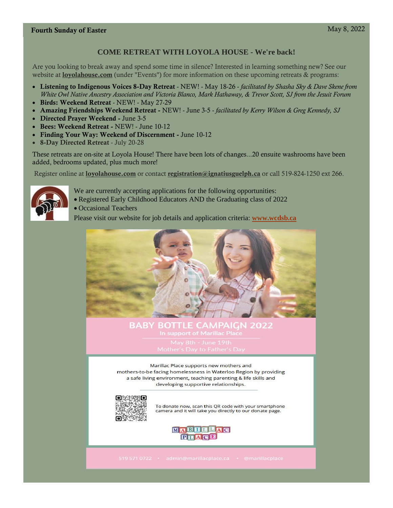#### **COME RETREAT WITH LOYOLA HOUSE - We're back!**

Are you looking to break away and spend some time in silence? Interested in learning something new? See our website at **[loyolahouse.com](https://r20.rs6.net/tn.jsp?f=001ieW5rWcirFOArm31mqXr_ofIWHHCWFkwytP05g4cpcWQM9L21nN3dnAEwn2iMM5G6k_yS0fItcWvaMLviIUPvMCT7lM8iiGdPyvxqpWwCK8tWs19qHbKT-aeOQaL_NAZiqAKTO0H28KeV6UXxQjueBlnOdbHKU20gCXCJYbvnPw=&c=JdsvoZ5sbgbxJGjtu1AqnjoEKLCbiTxZgxrztV7OYylliPokLGxUUg==&ch=90aBj13qh2tFWB-VdGke9WsPa23NVQudahdN4UECZgpsZ1ZY_ZdQOg==)** (under "Events") for more information on these upcoming retreats & programs:

- Listening to Indigenous Voices 8-Day Retreat NEW! May 18-26 *facilitated by Shasha Sky & Dave Skene from White Owl Native Ancestry Association and Victoria Blanco, Mark Hathaway, & Trevor Scott, SJ from the Jesuit Forum*
- Birds: Weekend Retreat NEW! May 27-29
- Amazing Friendships Weekend Retreat NEW! June 3-5 *facilitated by Kerry Wilson & Greg Kennedy, SJ*
- Directed Prayer Weekend June 3-5
- Bees: Weekend Retreat NEW! June 10-12
- Finding Your Way: Weekend of Discernment June 10-12
- 8-Day Directed Retreat July 20-28

These retreats are on-site at Loyola House! There have been lots of changes...20 ensuite washrooms have been added, bedrooms updated, plus much more!

Register online at **[loyolahouse.com](https://r20.rs6.net/tn.jsp?f=001ieW5rWcirFOArm31mqXr_ofIWHHCWFkwytP05g4cpcWQM9L21nN3dnAEwn2iMM5G6k_yS0fItcWvaMLviIUPvMCT7lM8iiGdPyvxqpWwCK8tWs19qHbKT-aeOQaL_NAZiqAKTO0H28KeV6UXxQjueBlnOdbHKU20gCXCJYbvnPw=&c=JdsvoZ5sbgbxJGjtu1AqnjoEKLCbiTxZgxrztV7OYylliPokLGxUUg==&ch=90aBj13qh2tFWB-VdGke9WsPa23NVQudahdN4UECZgpsZ1ZY_ZdQOg==)** or contact [registration@ignatiusguelph.ca](mailto:registration@ignatiusguelph.ca) or call 519-824-1250 ext 266.



- We are currently accepting applications for the following opportunities:
- Registered Early Childhood Educators AND the Graduating class of 2022
- Occasional Teachers

Please visit our website for job details and application criteria: **[www.wcdsb.ca](http://www.wcdsb.ca/)**



**BABY BOTTLE CAMPA** IGN 2022 In support of Marillac Place

Marillac Place supports new mothers and mothers-to-be facing homelessness in Waterloo Region by providing a safe living environment, teaching parenting & life skills and developing supportive relationships.



To donate now, scan this QR code with your smartphone camera and it will take you directly to our donate page.